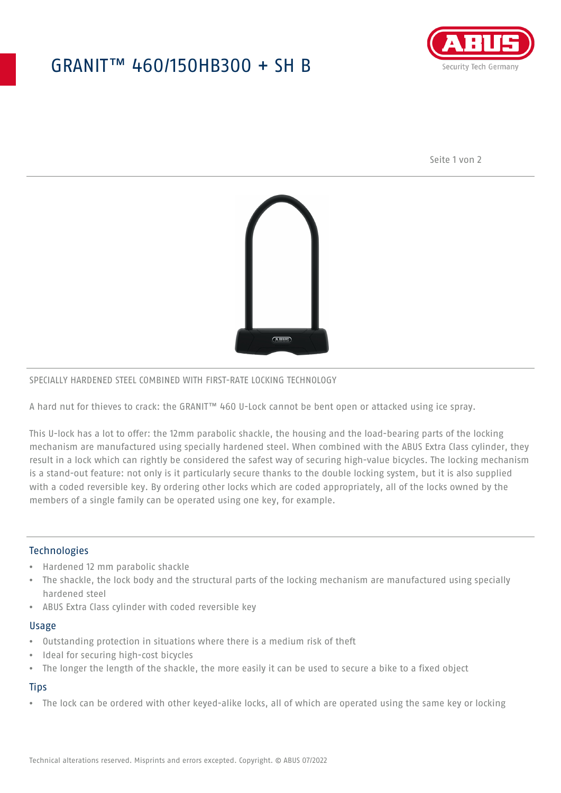# GRANIT™ 460/150HB300 + SH B



Seite 1 von 2



### SPECIALLY HARDENED STEEL COMBINED WITH FIRST-RATE LOCKING TECHNOLOGY

A hard nut for thieves to crack: the GRANIT™ 460 U-Lock cannot be bent open or attacked using ice spray.

This U-lock has a lot to offer: the 12mm parabolic shackle, the housing and the load-bearing parts of the locking mechanism are manufactured using specially hardened steel. When combined with the ABUS Extra Class cylinder, they result in a lock which can rightly be considered the safest way of securing high-value bicycles. The locking mechanism is a stand-out feature: not only is it particularly secure thanks to the double locking system, but it is also supplied with a coded reversible key. By ordering other locks which are coded appropriately, all of the locks owned by the members of a single family can be operated using one key, for example.

### **Technologies**

- Hardened 12 mm parabolic shackle
- The shackle, the lock body and the structural parts of the locking mechanism are manufactured using specially hardened steel
- ABUS Extra Class cylinder with coded reversible key

#### Usage

- Outstanding protection in situations where there is a medium risk of theft
- Ideal for securing high-cost bicycles
- The longer the length of the shackle, the more easily it can be used to secure a bike to a fixed object

## **Tips**

• The lock can be ordered with other keyed-alike locks, all of which are operated using the same key or locking